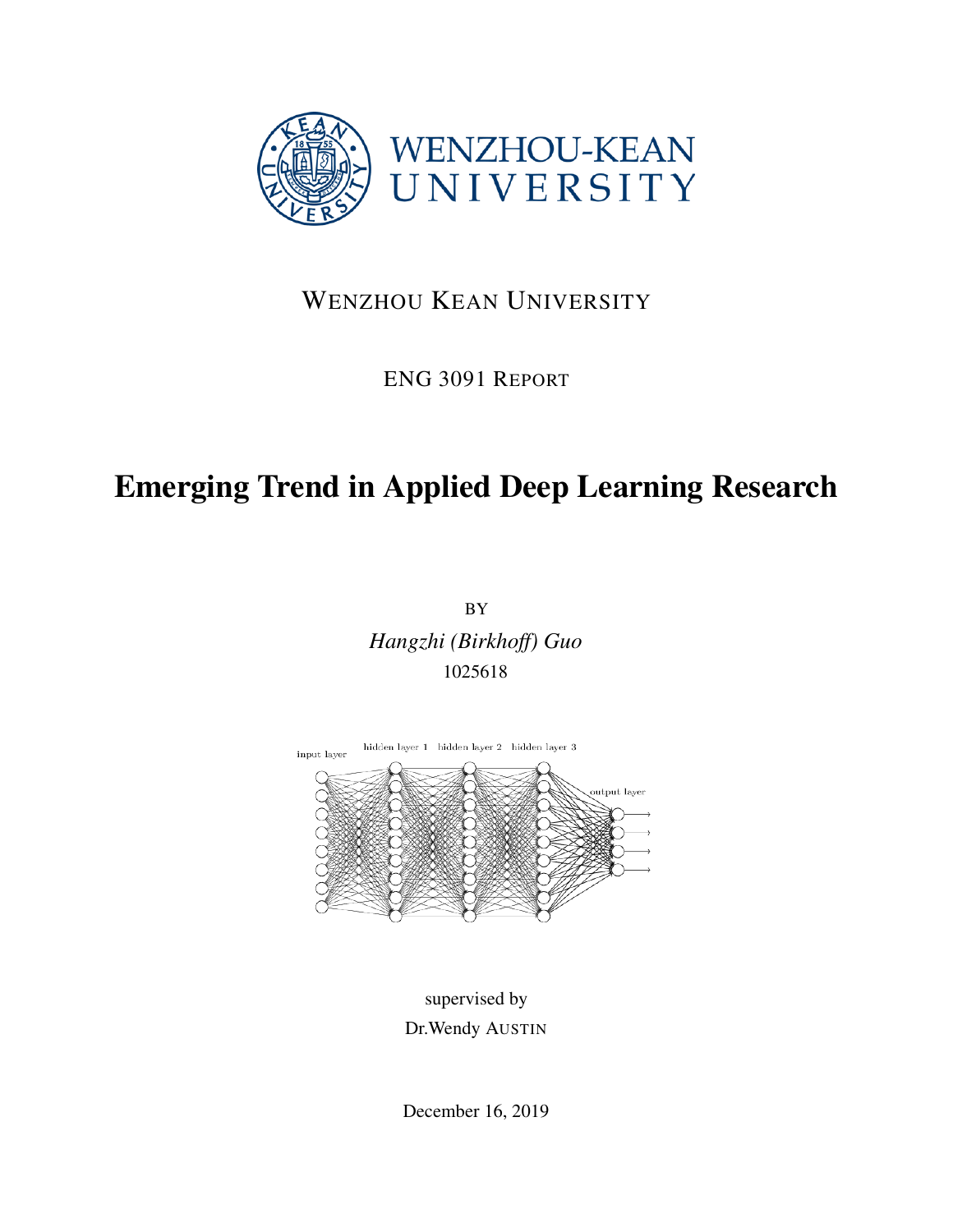

## WENZHOU KEAN UNIVERSITY

## ENG 3091 REPORT

# Emerging Trend in Applied Deep Learning Research

BY *Hangzhi (Birkhoff) Guo* 1025618



supervised by Dr.Wendy AUSTIN

December 16, 2019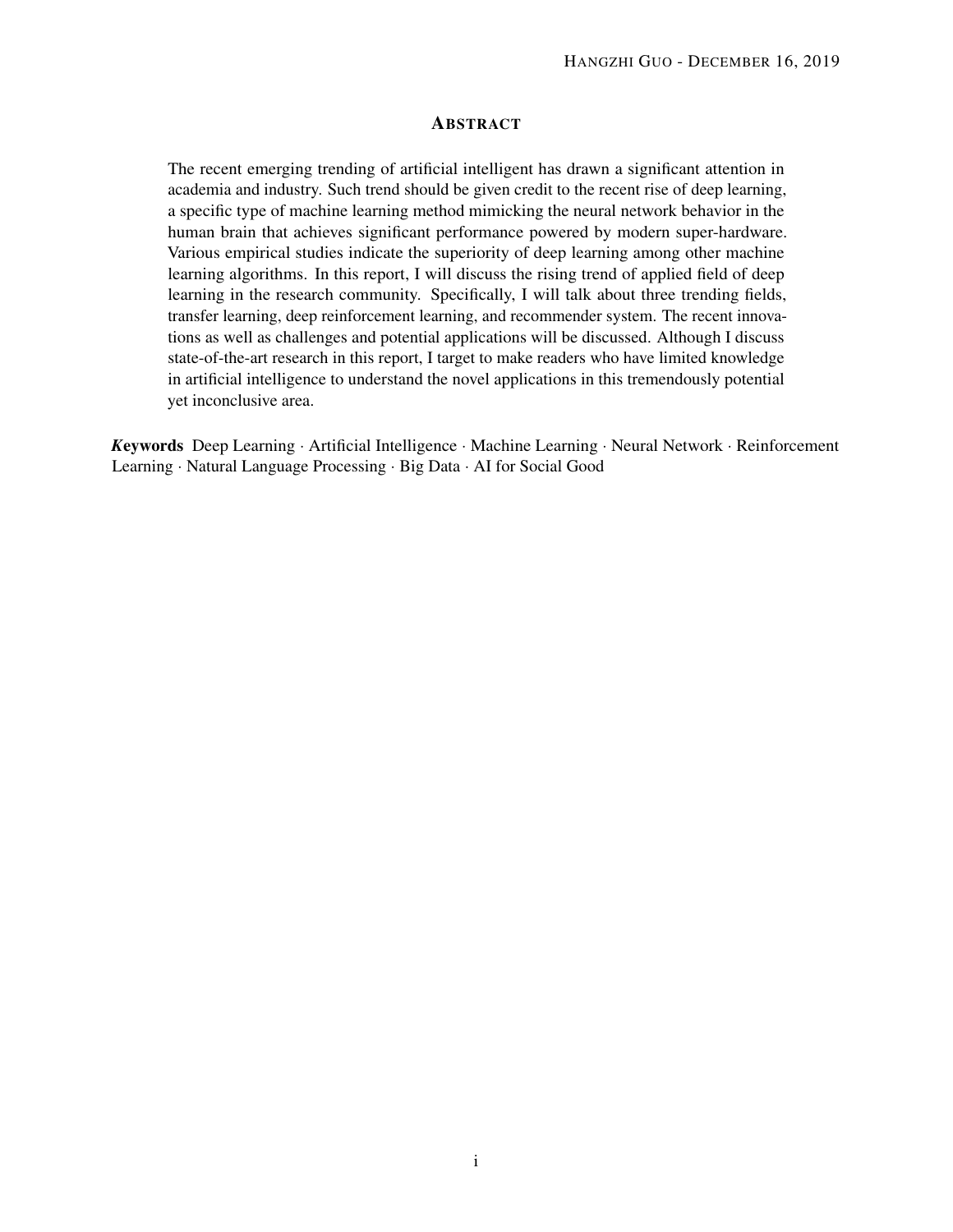#### ABSTRACT

The recent emerging trending of artificial intelligent has drawn a significant attention in academia and industry. Such trend should be given credit to the recent rise of deep learning, a specific type of machine learning method mimicking the neural network behavior in the human brain that achieves significant performance powered by modern super-hardware. Various empirical studies indicate the superiority of deep learning among other machine learning algorithms. In this report, I will discuss the rising trend of applied field of deep learning in the research community. Specifically, I will talk about three trending fields, transfer learning, deep reinforcement learning, and recommender system. The recent innovations as well as challenges and potential applications will be discussed. Although I discuss state-of-the-art research in this report, I target to make readers who have limited knowledge in artificial intelligence to understand the novel applications in this tremendously potential yet inconclusive area.

*K*eywords Deep Learning · Artificial Intelligence · Machine Learning · Neural Network · Reinforcement Learning · Natural Language Processing · Big Data · AI for Social Good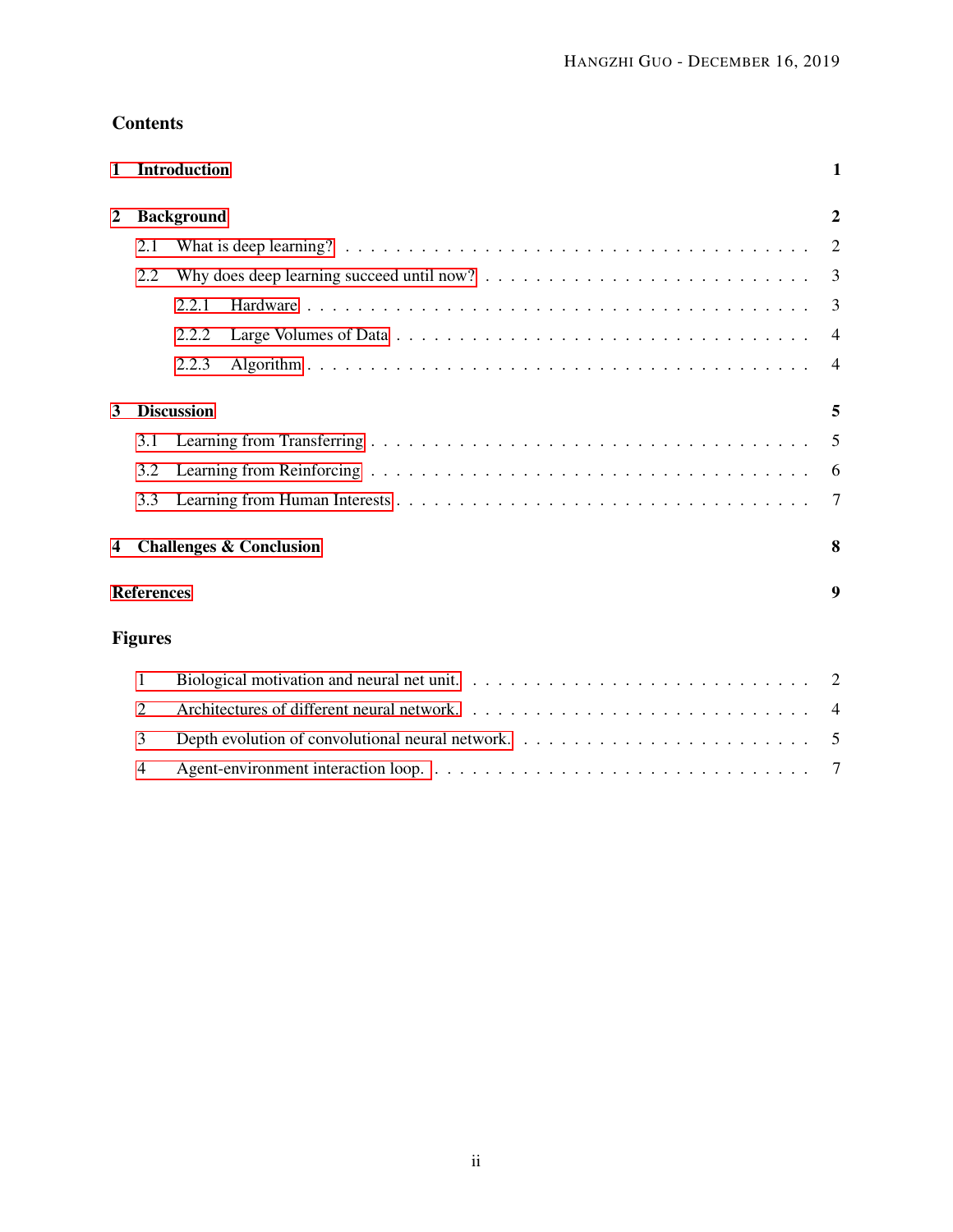### **Contents**

| $\mathbf{1}$   |                   | <b>Introduction</b>                                                                                                 | $\mathbf{1}$   |
|----------------|-------------------|---------------------------------------------------------------------------------------------------------------------|----------------|
| $\overline{2}$ |                   | <b>Background</b>                                                                                                   |                |
|                | 2.1               | What is deep learning? $\ldots \ldots \ldots \ldots \ldots \ldots \ldots \ldots \ldots \ldots \ldots \ldots \ldots$ | 2              |
|                | 2.2               |                                                                                                                     | 3              |
|                |                   | 2.2.1                                                                                                               | 3              |
|                |                   | 2.2.2                                                                                                               | $\overline{4}$ |
|                |                   | 2.2.3                                                                                                               | $\overline{4}$ |
| 3              |                   | <b>Discussion</b>                                                                                                   | 5              |
|                | 3.1               |                                                                                                                     | 5              |
|                | 3.2               |                                                                                                                     | 6              |
|                | 3.3               |                                                                                                                     | 7              |
| 4              |                   | <b>Challenges &amp; Conclusion</b>                                                                                  | 8              |
|                | <b>References</b> |                                                                                                                     | 9              |
|                | <b>Figures</b>    |                                                                                                                     |                |
|                | 1                 |                                                                                                                     | 2              |
|                | 2                 |                                                                                                                     | 4              |
|                | 3                 |                                                                                                                     | -5             |
|                | 4                 |                                                                                                                     | 7              |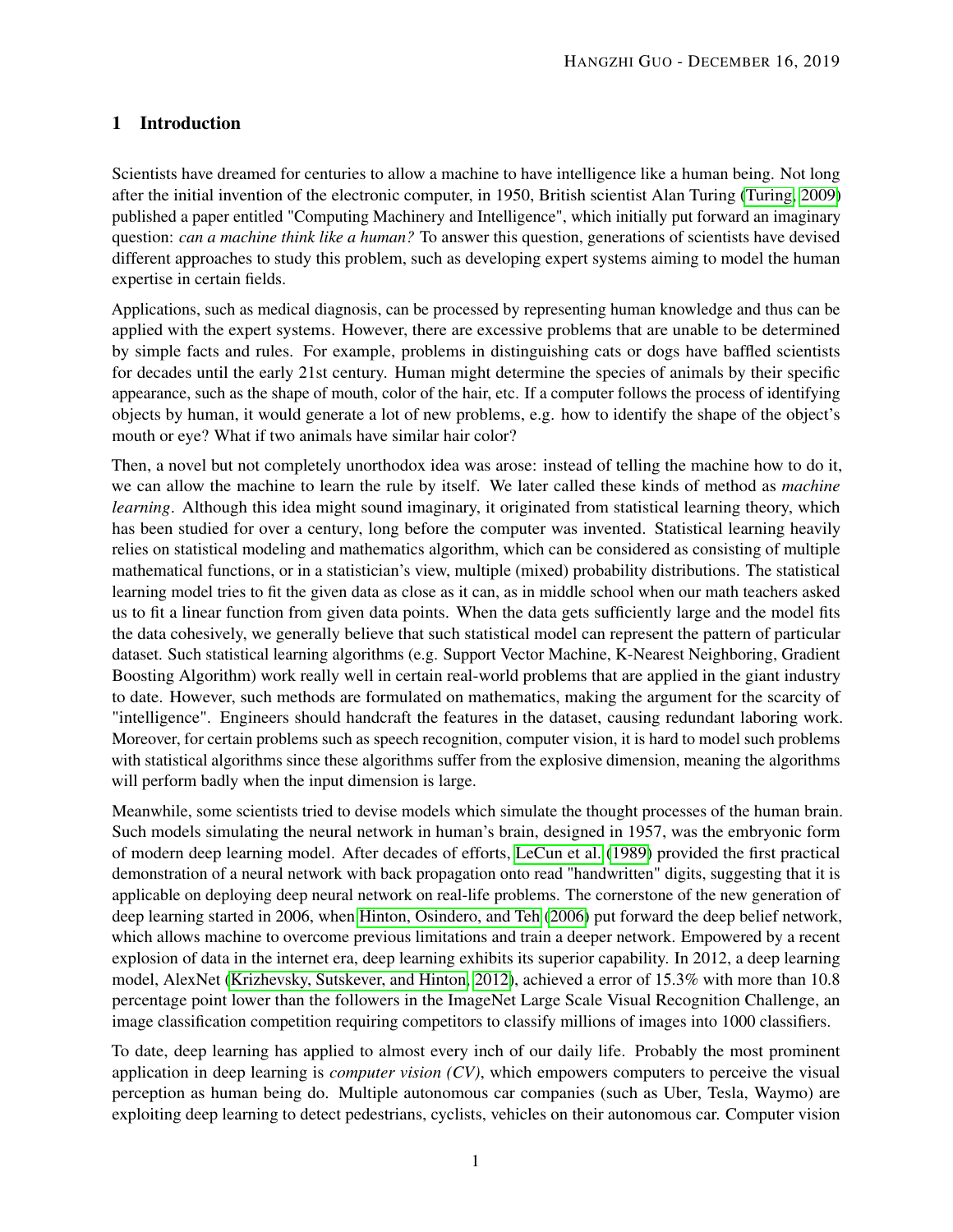#### <span id="page-3-0"></span>1 Introduction

Scientists have dreamed for centuries to allow a machine to have intelligence like a human being. Not long after the initial invention of the electronic computer, in 1950, British scientist Alan Turing [\(Turing, 2009\)](#page-12-0) published a paper entitled "Computing Machinery and Intelligence", which initially put forward an imaginary question: *can a machine think like a human?* To answer this question, generations of scientists have devised different approaches to study this problem, such as developing expert systems aiming to model the human expertise in certain fields.

Applications, such as medical diagnosis, can be processed by representing human knowledge and thus can be applied with the expert systems. However, there are excessive problems that are unable to be determined by simple facts and rules. For example, problems in distinguishing cats or dogs have baffled scientists for decades until the early 21st century. Human might determine the species of animals by their specific appearance, such as the shape of mouth, color of the hair, etc. If a computer follows the process of identifying objects by human, it would generate a lot of new problems, e.g. how to identify the shape of the object's mouth or eye? What if two animals have similar hair color?

Then, a novel but not completely unorthodox idea was arose: instead of telling the machine how to do it, we can allow the machine to learn the rule by itself. We later called these kinds of method as *machine learning*. Although this idea might sound imaginary, it originated from statistical learning theory, which has been studied for over a century, long before the computer was invented. Statistical learning heavily relies on statistical modeling and mathematics algorithm, which can be considered as consisting of multiple mathematical functions, or in a statistician's view, multiple (mixed) probability distributions. The statistical learning model tries to fit the given data as close as it can, as in middle school when our math teachers asked us to fit a linear function from given data points. When the data gets sufficiently large and the model fits the data cohesively, we generally believe that such statistical model can represent the pattern of particular dataset. Such statistical learning algorithms (e.g. Support Vector Machine, K-Nearest Neighboring, Gradient Boosting Algorithm) work really well in certain real-world problems that are applied in the giant industry to date. However, such methods are formulated on mathematics, making the argument for the scarcity of "intelligence". Engineers should handcraft the features in the dataset, causing redundant laboring work. Moreover, for certain problems such as speech recognition, computer vision, it is hard to model such problems with statistical algorithms since these algorithms suffer from the explosive dimension, meaning the algorithms will perform badly when the input dimension is large.

Meanwhile, some scientists tried to devise models which simulate the thought processes of the human brain. Such models simulating the neural network in human's brain, designed in 1957, was the embryonic form of modern deep learning model. After decades of efforts, [LeCun et al.](#page-11-0) [\(1989\)](#page-11-0) provided the first practical demonstration of a neural network with back propagation onto read "handwritten" digits, suggesting that it is applicable on deploying deep neural network on real-life problems. The cornerstone of the new generation of deep learning started in 2006, when [Hinton, Osindero, and Teh](#page-11-1) [\(2006\)](#page-11-1) put forward the deep belief network, which allows machine to overcome previous limitations and train a deeper network. Empowered by a recent explosion of data in the internet era, deep learning exhibits its superior capability. In 2012, a deep learning model, AlexNet [\(Krizhevsky, Sutskever, and Hinton, 2012\)](#page-11-2), achieved a error of 15.3% with more than 10.8 percentage point lower than the followers in the ImageNet Large Scale Visual Recognition Challenge, an image classification competition requiring competitors to classify millions of images into 1000 classifiers.

To date, deep learning has applied to almost every inch of our daily life. Probably the most prominent application in deep learning is *computer vision (CV)*, which empowers computers to perceive the visual perception as human being do. Multiple autonomous car companies (such as Uber, Tesla, Waymo) are exploiting deep learning to detect pedestrians, cyclists, vehicles on their autonomous car. Computer vision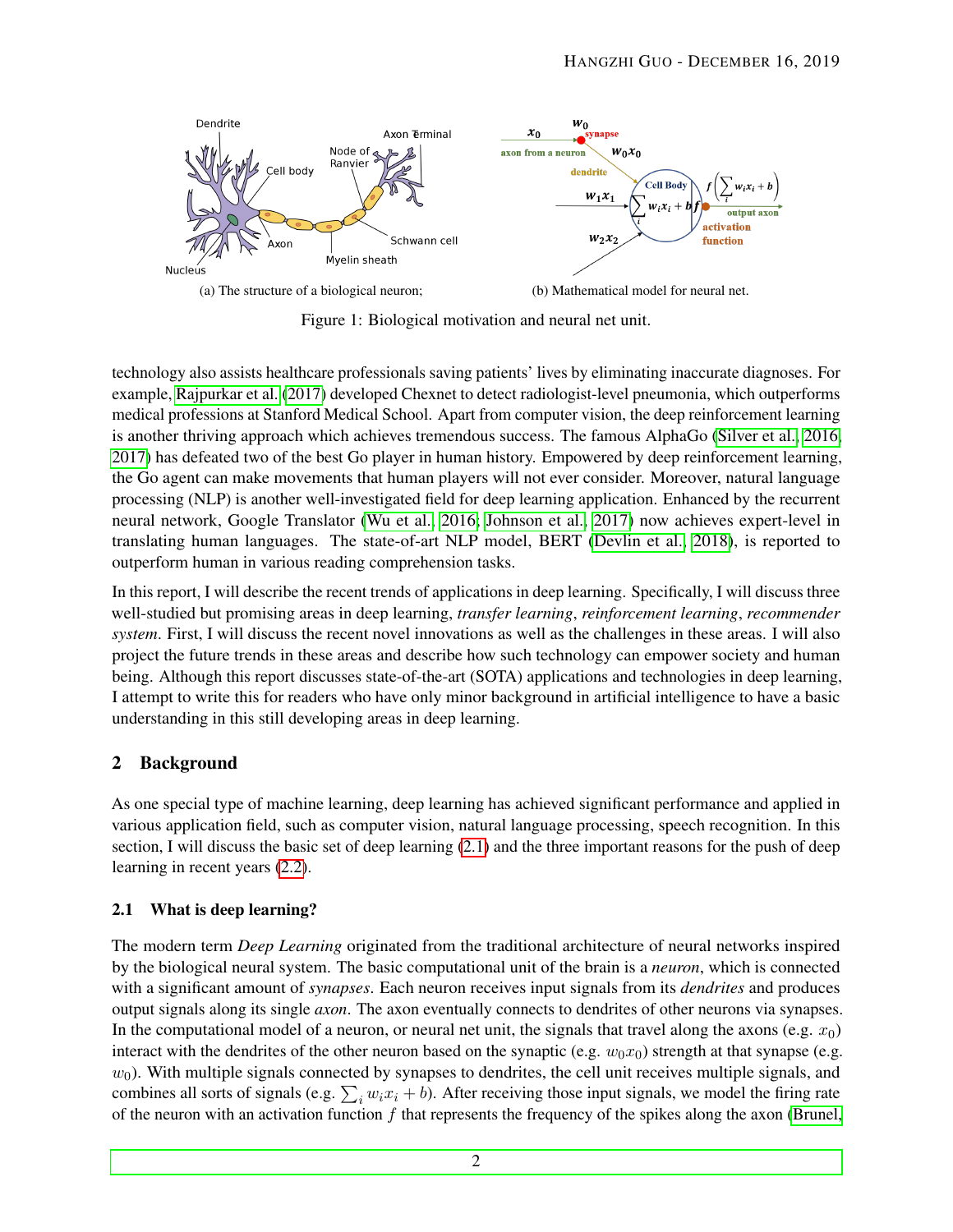<span id="page-4-2"></span>

Figure 1: Biological motivation and neural net unit.

technology also assists healthcare professionals saving patients' lives by eliminating inaccurate diagnoses. For example, [Rajpurkar et al.](#page-12-1) [\(2017\)](#page-12-1) developed Chexnet to detect radiologist-level pneumonia, which outperforms medical professions at Stanford Medical School. Apart from computer vision, the deep reinforcement learning is another thriving approach which achieves tremendous success. The famous AlphaGo [\(Silver et al., 2016,](#page-12-2) [2017\)](#page-12-3) has defeated two of the best Go player in human history. Empowered by deep reinforcement learning, the Go agent can make movements that human players will not ever consider. Moreover, natural language processing (NLP) is another well-investigated field for deep learning application. Enhanced by the recurrent neural network, Google Translator [\(Wu et al., 2016;](#page-12-4) [Johnson et al., 2017\)](#page-11-3) now achieves expert-level in translating human languages. The state-of-art NLP model, BERT [\(Devlin et al., 2018\)](#page-11-4), is reported to outperform human in various reading comprehension tasks.

In this report, I will describe the recent trends of applications in deep learning. Specifically, I will discuss three well-studied but promising areas in deep learning, *transfer learning*, *reinforcement learning*, *recommender system*. First, I will discuss the recent novel innovations as well as the challenges in these areas. I will also project the future trends in these areas and describe how such technology can empower society and human being. Although this report discusses state-of-the-art (SOTA) applications and technologies in deep learning, I attempt to write this for readers who have only minor background in artificial intelligence to have a basic understanding in this still developing areas in deep learning.

#### <span id="page-4-0"></span>2 Background

As one special type of machine learning, deep learning has achieved significant performance and applied in various application field, such as computer vision, natural language processing, speech recognition. In this section, I will discuss the basic set of deep learning [\(2.1\)](#page-4-1) and the three important reasons for the push of deep learning in recent years [\(2.2\)](#page-5-0).

#### <span id="page-4-1"></span>2.1 What is deep learning?

The modern term *Deep Learning* originated from the traditional architecture of neural networks inspired by the biological neural system. The basic computational unit of the brain is a *neuron*, which is connected with a significant amount of *synapses*. Each neuron receives input signals from its *dendrites* and produces output signals along its single *axon*. The axon eventually connects to dendrites of other neurons via synapses. In the computational model of a neuron, or neural net unit, the signals that travel along the axons (e.g.  $x_0$ ) interact with the dendrites of the other neuron based on the synaptic (e.g.  $w_0x_0$ ) strength at that synapse (e.g.  $w_0$ ). With multiple signals connected by synapses to dendrites, the cell unit receives multiple signals, and combines all sorts of signals (e.g.  $\sum_i w_i x_i + b$ ). After receiving those input signals, we model the firing rate of the neuron with an activation function  $f$  that represents the frequency of the spikes along the axon [\(Brunel,](#page-11-5)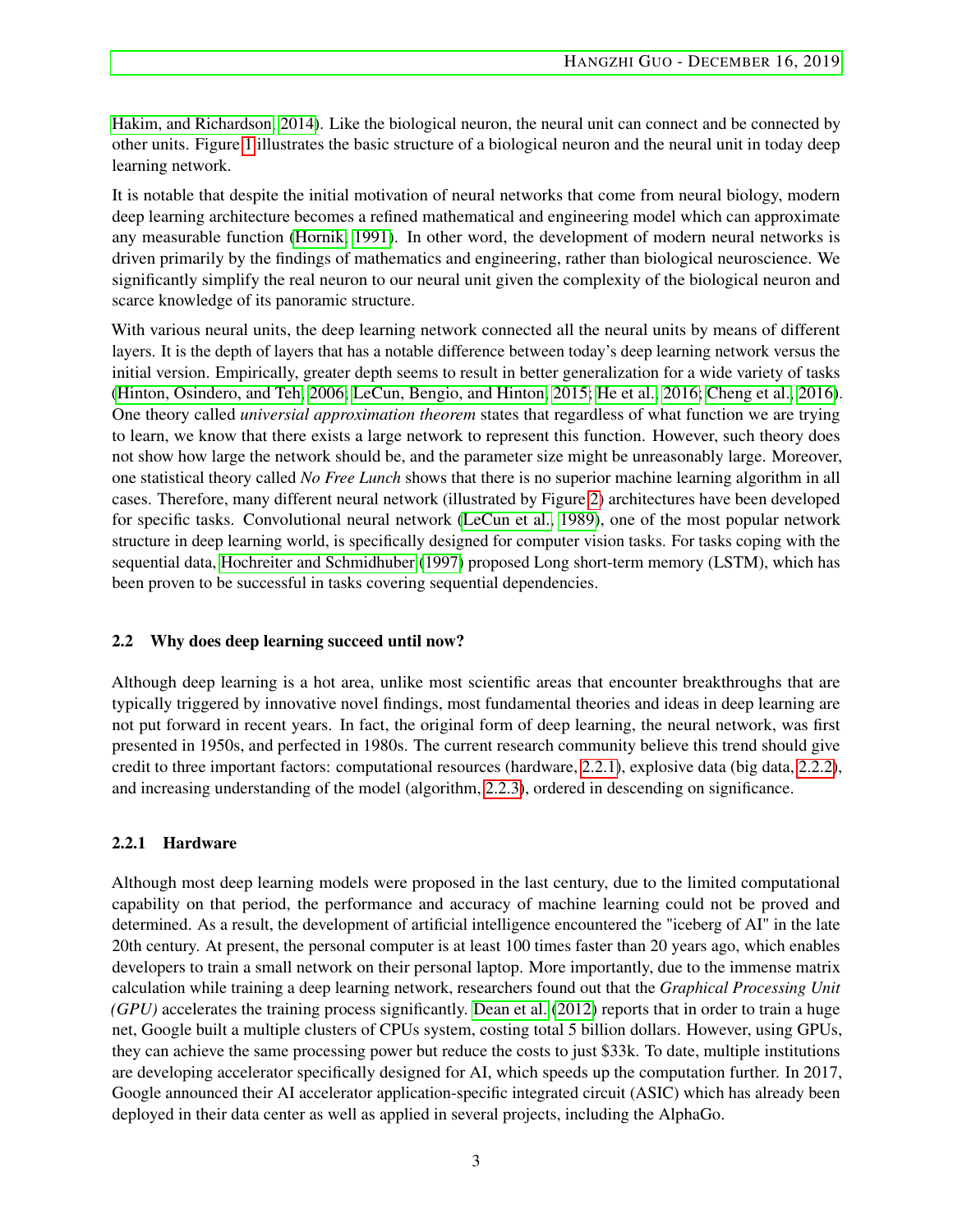[Hakim, and Richardson, 2014\)](#page-11-5). Like the biological neuron, the neural unit can connect and be connected by other units. Figure [1](#page-4-2) illustrates the basic structure of a biological neuron and the neural unit in today deep learning network.

It is notable that despite the initial motivation of neural networks that come from neural biology, modern deep learning architecture becomes a refined mathematical and engineering model which can approximate any measurable function [\(Hornik, 1991\)](#page-11-6). In other word, the development of modern neural networks is driven primarily by the findings of mathematics and engineering, rather than biological neuroscience. We significantly simplify the real neuron to our neural unit given the complexity of the biological neuron and scarce knowledge of its panoramic structure.

With various neural units, the deep learning network connected all the neural units by means of different layers. It is the depth of layers that has a notable difference between today's deep learning network versus the initial version. Empirically, greater depth seems to result in better generalization for a wide variety of tasks [\(Hinton, Osindero, and Teh, 2006;](#page-11-1) [LeCun, Bengio, and Hinton, 2015;](#page-11-7) [He et al., 2016;](#page-11-8) [Cheng et al., 2016\)](#page-11-9). One theory called *universial approximation theorem* states that regardless of what function we are trying to learn, we know that there exists a large network to represent this function. However, such theory does not show how large the network should be, and the parameter size might be unreasonably large. Moreover, one statistical theory called *No Free Lunch* shows that there is no superior machine learning algorithm in all cases. Therefore, many different neural network (illustrated by Figure [2\)](#page-6-2) architectures have been developed for specific tasks. Convolutional neural network [\(LeCun et al., 1989\)](#page-11-0), one of the most popular network structure in deep learning world, is specifically designed for computer vision tasks. For tasks coping with the sequential data, [Hochreiter and Schmidhuber](#page-11-10) [\(1997\)](#page-11-10) proposed Long short-term memory (LSTM), which has been proven to be successful in tasks covering sequential dependencies.

#### <span id="page-5-0"></span>2.2 Why does deep learning succeed until now?

Although deep learning is a hot area, unlike most scientific areas that encounter breakthroughs that are typically triggered by innovative novel findings, most fundamental theories and ideas in deep learning are not put forward in recent years. In fact, the original form of deep learning, the neural network, was first presented in 1950s, and perfected in 1980s. The current research community believe this trend should give credit to three important factors: computational resources (hardware, [2.2.1\)](#page-5-1), explosive data (big data, [2.2.2\)](#page-6-0), and increasing understanding of the model (algorithm, [2.2.3\)](#page-6-1), ordered in descending on significance.

#### <span id="page-5-1"></span>2.2.1 Hardware

Although most deep learning models were proposed in the last century, due to the limited computational capability on that period, the performance and accuracy of machine learning could not be proved and determined. As a result, the development of artificial intelligence encountered the "iceberg of AI" in the late 20th century. At present, the personal computer is at least 100 times faster than 20 years ago, which enables developers to train a small network on their personal laptop. More importantly, due to the immense matrix calculation while training a deep learning network, researchers found out that the *Graphical Processing Unit (GPU)* accelerates the training process significantly. [Dean et al.](#page-11-11) [\(2012\)](#page-11-11) reports that in order to train a huge net, Google built a multiple clusters of CPUs system, costing total 5 billion dollars. However, using GPUs, they can achieve the same processing power but reduce the costs to just \$33k. To date, multiple institutions are developing accelerator specifically designed for AI, which speeds up the computation further. In 2017, Google announced their AI accelerator application-specific integrated circuit (ASIC) which has already been deployed in their data center as well as applied in several projects, including the AlphaGo.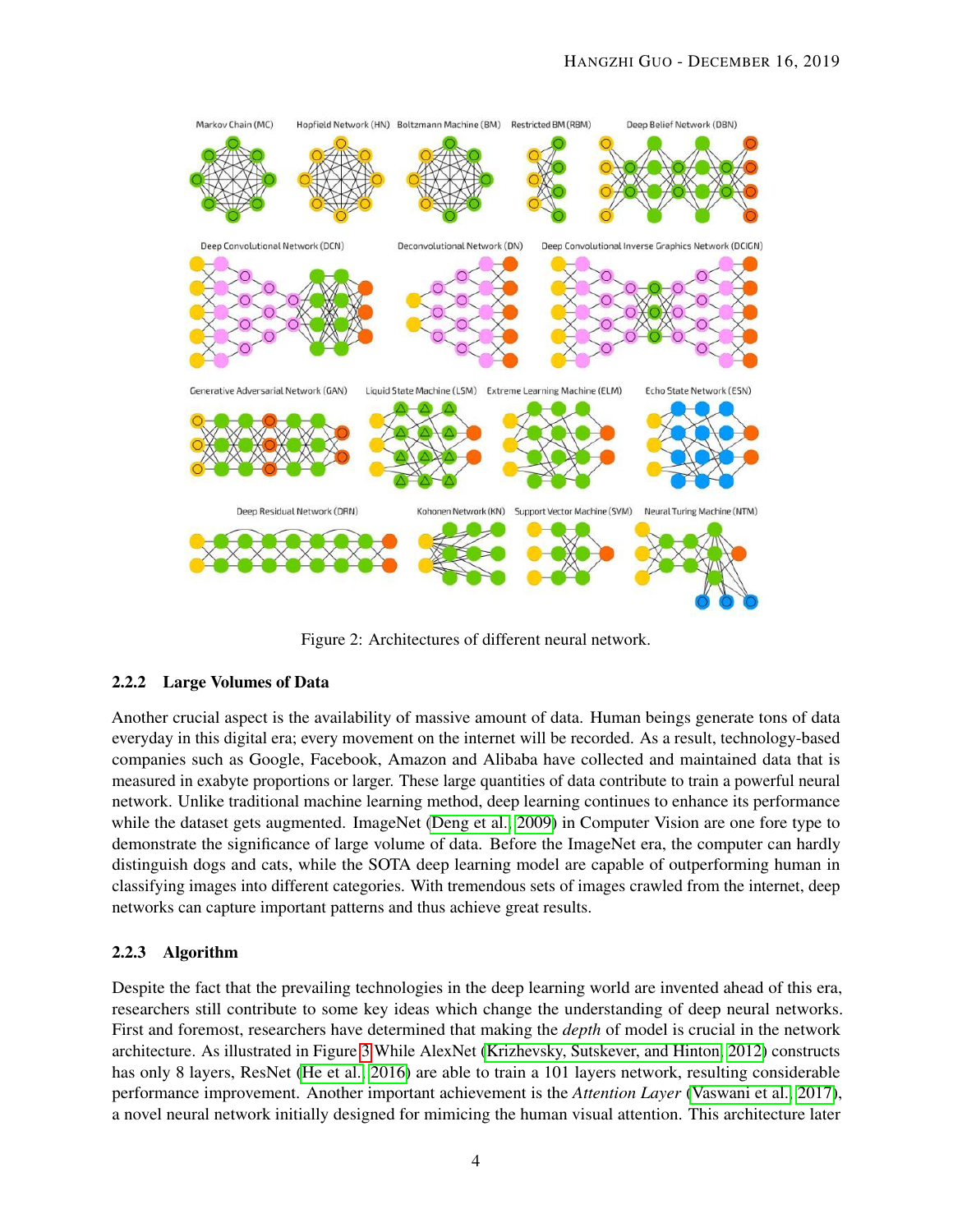<span id="page-6-2"></span>

Figure 2: Architectures of different neural network.

#### <span id="page-6-0"></span>2.2.2 Large Volumes of Data

Another crucial aspect is the availability of massive amount of data. Human beings generate tons of data everyday in this digital era; every movement on the internet will be recorded. As a result, technology-based companies such as Google, Facebook, Amazon and Alibaba have collected and maintained data that is measured in exabyte proportions or larger. These large quantities of data contribute to train a powerful neural network. Unlike traditional machine learning method, deep learning continues to enhance its performance while the dataset gets augmented. ImageNet [\(Deng et al., 2009\)](#page-11-12) in Computer Vision are one fore type to demonstrate the significance of large volume of data. Before the ImageNet era, the computer can hardly distinguish dogs and cats, while the SOTA deep learning model are capable of outperforming human in classifying images into different categories. With tremendous sets of images crawled from the internet, deep networks can capture important patterns and thus achieve great results.

#### <span id="page-6-1"></span>2.2.3 Algorithm

Despite the fact that the prevailing technologies in the deep learning world are invented ahead of this era, researchers still contribute to some key ideas which change the understanding of deep neural networks. First and foremost, researchers have determined that making the *depth* of model is crucial in the network architecture. As illustrated in Figure [3](#page-7-2) While AlexNet [\(Krizhevsky, Sutskever, and Hinton, 2012\)](#page-11-2) constructs has only 8 layers, ResNet [\(He et al., 2016\)](#page-11-8) are able to train a 101 layers network, resulting considerable performance improvement. Another important achievement is the *Attention Layer* [\(Vaswani et al., 2017\)](#page-12-5), a novel neural network initially designed for mimicing the human visual attention. This architecture later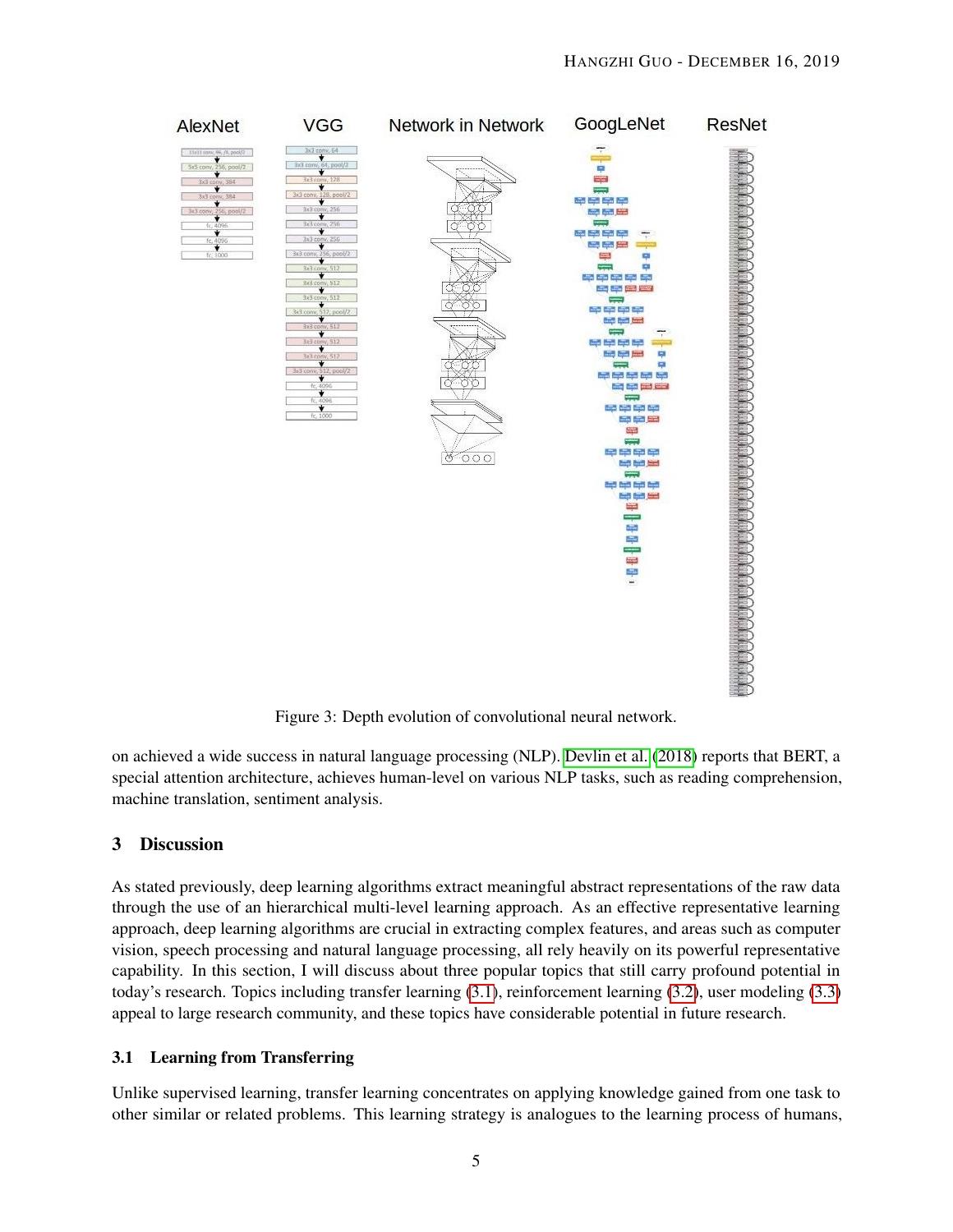<span id="page-7-2"></span>

Figure 3: Depth evolution of convolutional neural network.

on achieved a wide success in natural language processing (NLP). [Devlin et al.](#page-11-4) [\(2018\)](#page-11-4) reports that BERT, a special attention architecture, achieves human-level on various NLP tasks, such as reading comprehension, machine translation, sentiment analysis.

#### <span id="page-7-0"></span>3 Discussion

As stated previously, deep learning algorithms extract meaningful abstract representations of the raw data through the use of an hierarchical multi-level learning approach. As an effective representative learning approach, deep learning algorithms are crucial in extracting complex features, and areas such as computer vision, speech processing and natural language processing, all rely heavily on its powerful representative capability. In this section, I will discuss about three popular topics that still carry profound potential in today's research. Topics including transfer learning [\(3.1\)](#page-7-1), reinforcement learning [\(3.2\)](#page-8-0), user modeling [\(3.3\)](#page-9-0) appeal to large research community, and these topics have considerable potential in future research.

#### <span id="page-7-1"></span>3.1 Learning from Transferring

Unlike supervised learning, transfer learning concentrates on applying knowledge gained from one task to other similar or related problems. This learning strategy is analogues to the learning process of humans,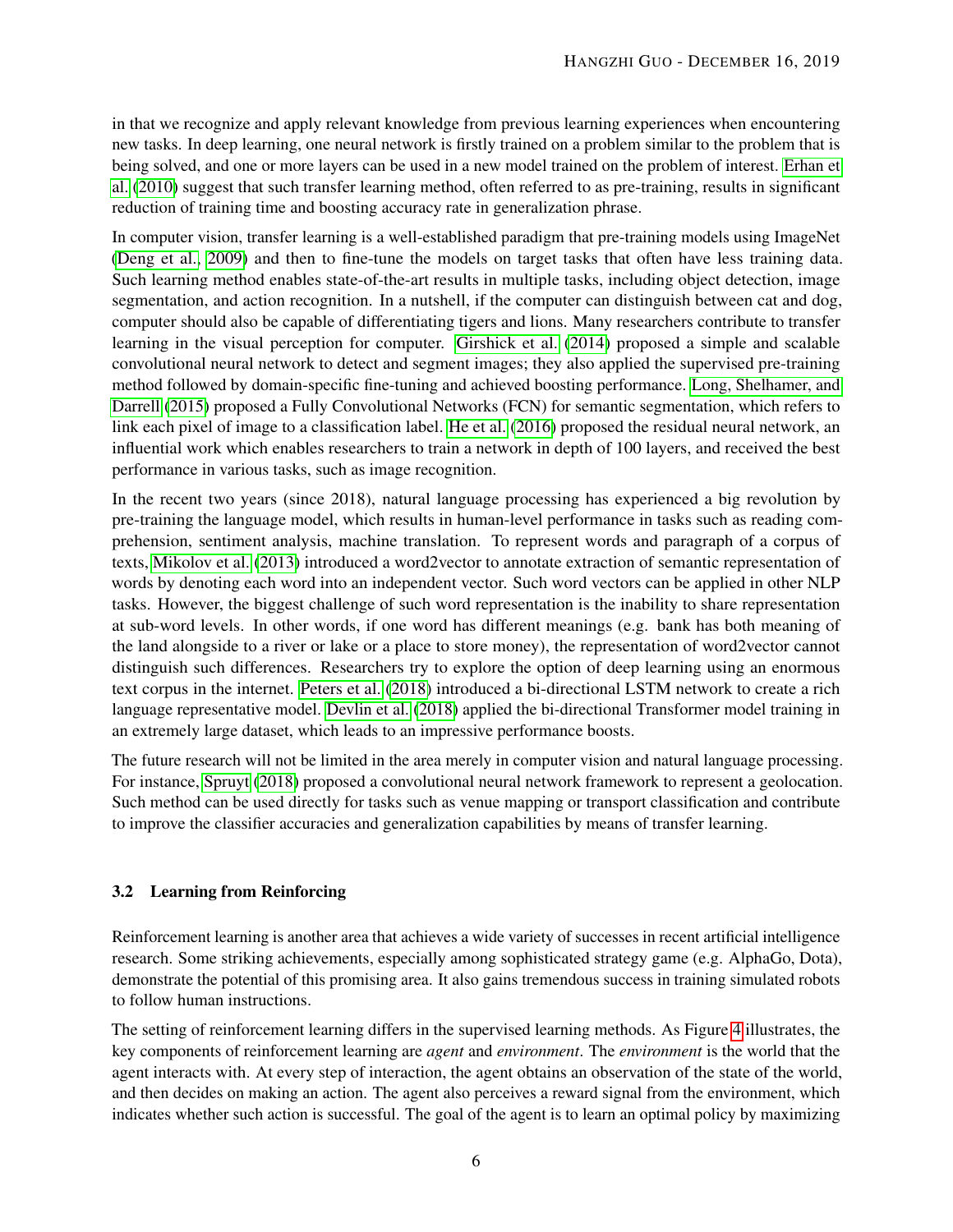in that we recognize and apply relevant knowledge from previous learning experiences when encountering new tasks. In deep learning, one neural network is firstly trained on a problem similar to the problem that is being solved, and one or more layers can be used in a new model trained on the problem of interest. [Erhan et](#page-11-13) [al.](#page-11-13) [\(2010\)](#page-11-13) suggest that such transfer learning method, often referred to as pre-training, results in significant reduction of training time and boosting accuracy rate in generalization phrase.

In computer vision, transfer learning is a well-established paradigm that pre-training models using ImageNet [\(Deng et al., 2009\)](#page-11-12) and then to fine-tune the models on target tasks that often have less training data. Such learning method enables state-of-the-art results in multiple tasks, including object detection, image segmentation, and action recognition. In a nutshell, if the computer can distinguish between cat and dog, computer should also be capable of differentiating tigers and lions. Many researchers contribute to transfer learning in the visual perception for computer. [Girshick et al.](#page-11-14) [\(2014\)](#page-11-14) proposed a simple and scalable convolutional neural network to detect and segment images; they also applied the supervised pre-training method followed by domain-specific fine-tuning and achieved boosting performance. [Long, Shelhamer, and](#page-12-6) [Darrell](#page-12-6) [\(2015\)](#page-12-6) proposed a Fully Convolutional Networks (FCN) for semantic segmentation, which refers to link each pixel of image to a classification label. [He et al.](#page-11-8) [\(2016\)](#page-11-8) proposed the residual neural network, an influential work which enables researchers to train a network in depth of 100 layers, and received the best performance in various tasks, such as image recognition.

In the recent two years (since 2018), natural language processing has experienced a big revolution by pre-training the language model, which results in human-level performance in tasks such as reading comprehension, sentiment analysis, machine translation. To represent words and paragraph of a corpus of texts, [Mikolov et al.](#page-12-7) [\(2013\)](#page-12-7) introduced a word2vector to annotate extraction of semantic representation of words by denoting each word into an independent vector. Such word vectors can be applied in other NLP tasks. However, the biggest challenge of such word representation is the inability to share representation at sub-word levels. In other words, if one word has different meanings (e.g. bank has both meaning of the land alongside to a river or lake or a place to store money), the representation of word2vector cannot distinguish such differences. Researchers try to explore the option of deep learning using an enormous text corpus in the internet. [Peters et al.](#page-12-8) [\(2018\)](#page-12-8) introduced a bi-directional LSTM network to create a rich language representative model. [Devlin et al.](#page-11-4) [\(2018\)](#page-11-4) applied the bi-directional Transformer model training in an extremely large dataset, which leads to an impressive performance boosts.

The future research will not be limited in the area merely in computer vision and natural language processing. For instance, [Spruyt](#page-12-9) [\(2018\)](#page-12-9) proposed a convolutional neural network framework to represent a geolocation. Such method can be used directly for tasks such as venue mapping or transport classification and contribute to improve the classifier accuracies and generalization capabilities by means of transfer learning.

#### <span id="page-8-0"></span>3.2 Learning from Reinforcing

Reinforcement learning is another area that achieves a wide variety of successes in recent artificial intelligence research. Some striking achievements, especially among sophisticated strategy game (e.g. AlphaGo, Dota), demonstrate the potential of this promising area. It also gains tremendous success in training simulated robots to follow human instructions.

The setting of reinforcement learning differs in the supervised learning methods. As Figure [4](#page-9-1) illustrates, the key components of reinforcement learning are *agent* and *environment*. The *environment* is the world that the agent interacts with. At every step of interaction, the agent obtains an observation of the state of the world, and then decides on making an action. The agent also perceives a reward signal from the environment, which indicates whether such action is successful. The goal of the agent is to learn an optimal policy by maximizing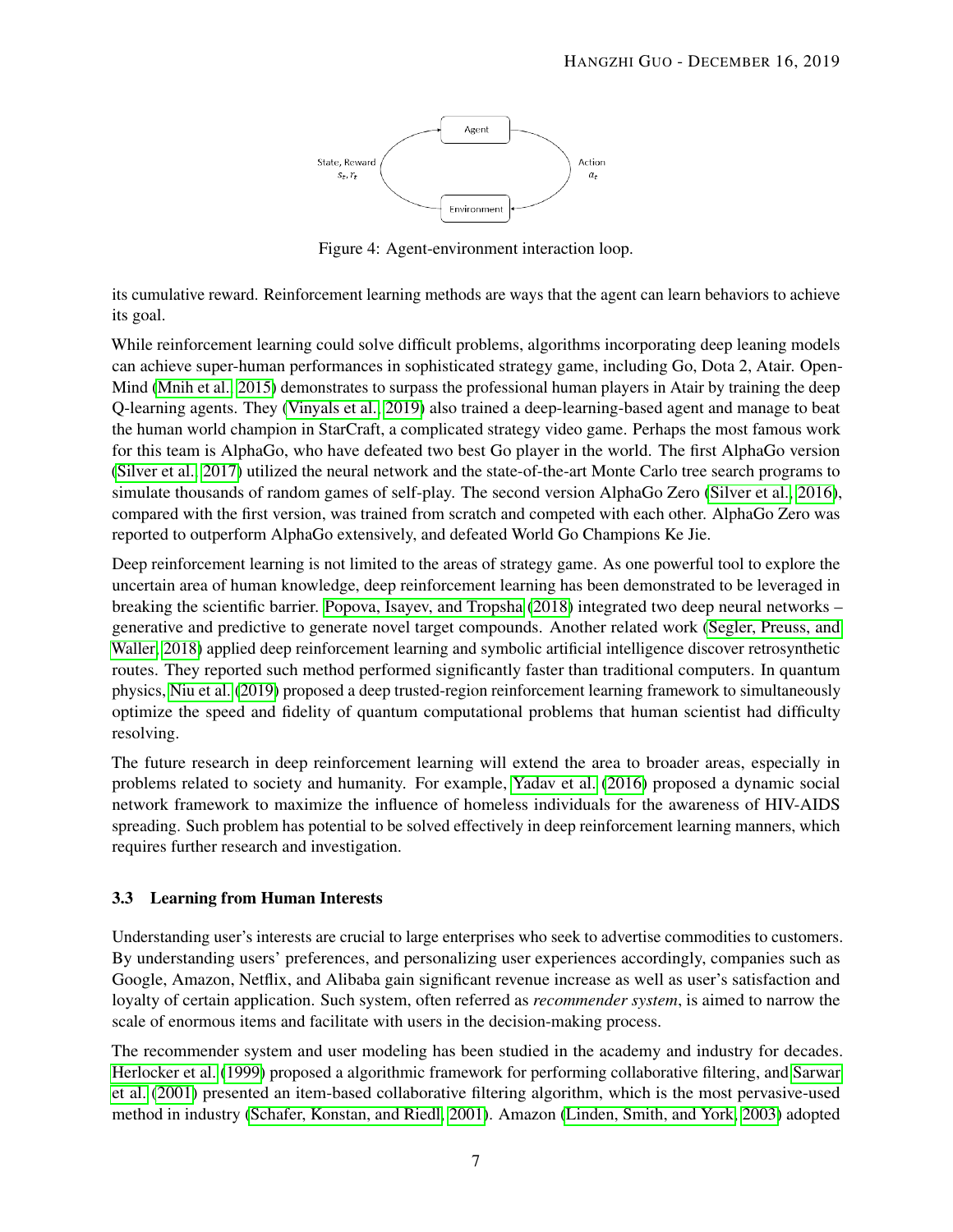

Figure 4: Agent-environment interaction loop.

<span id="page-9-1"></span>its cumulative reward. Reinforcement learning methods are ways that the agent can learn behaviors to achieve its goal.

While reinforcement learning could solve difficult problems, algorithms incorporating deep leaning models can achieve super-human performances in sophisticated strategy game, including Go, Dota 2, Atair. Open-Mind [\(Mnih et al., 2015\)](#page-12-10) demonstrates to surpass the professional human players in Atair by training the deep Q-learning agents. They [\(Vinyals et al., 2019\)](#page-12-11) also trained a deep-learning-based agent and manage to beat the human world champion in StarCraft, a complicated strategy video game. Perhaps the most famous work for this team is AlphaGo, who have defeated two best Go player in the world. The first AlphaGo version [\(Silver et al., 2017\)](#page-12-3) utilized the neural network and the state-of-the-art Monte Carlo tree search programs to simulate thousands of random games of self-play. The second version AlphaGo Zero [\(Silver et al., 2016\)](#page-12-2), compared with the first version, was trained from scratch and competed with each other. AlphaGo Zero was reported to outperform AlphaGo extensively, and defeated World Go Champions Ke Jie.

Deep reinforcement learning is not limited to the areas of strategy game. As one powerful tool to explore the uncertain area of human knowledge, deep reinforcement learning has been demonstrated to be leveraged in breaking the scientific barrier. [Popova, Isayev, and Tropsha](#page-12-12) [\(2018\)](#page-12-12) integrated two deep neural networks – generative and predictive to generate novel target compounds. Another related work [\(Segler, Preuss, and](#page-12-13) [Waller, 2018\)](#page-12-13) applied deep reinforcement learning and symbolic artificial intelligence discover retrosynthetic routes. They reported such method performed significantly faster than traditional computers. In quantum physics, [Niu et al.](#page-12-14) [\(2019\)](#page-12-14) proposed a deep trusted-region reinforcement learning framework to simultaneously optimize the speed and fidelity of quantum computational problems that human scientist had difficulty resolving.

The future research in deep reinforcement learning will extend the area to broader areas, especially in problems related to society and humanity. For example, [Yadav et al.](#page-13-0) [\(2016\)](#page-13-0) proposed a dynamic social network framework to maximize the influence of homeless individuals for the awareness of HIV-AIDS spreading. Such problem has potential to be solved effectively in deep reinforcement learning manners, which requires further research and investigation.

#### <span id="page-9-0"></span>3.3 Learning from Human Interests

Understanding user's interests are crucial to large enterprises who seek to advertise commodities to customers. By understanding users' preferences, and personalizing user experiences accordingly, companies such as Google, Amazon, Netflix, and Alibaba gain significant revenue increase as well as user's satisfaction and loyalty of certain application. Such system, often referred as *recommender system*, is aimed to narrow the scale of enormous items and facilitate with users in the decision-making process.

The recommender system and user modeling has been studied in the academy and industry for decades. [Herlocker et al.](#page-11-15) [\(1999\)](#page-11-15) proposed a algorithmic framework for performing collaborative filtering, and [Sarwar](#page-12-15) [et al.](#page-12-15) [\(2001\)](#page-12-15) presented an item-based collaborative filtering algorithm, which is the most pervasive-used method in industry [\(Schafer, Konstan, and Riedl, 2001\)](#page-12-16). Amazon [\(Linden, Smith, and York, 2003\)](#page-11-16) adopted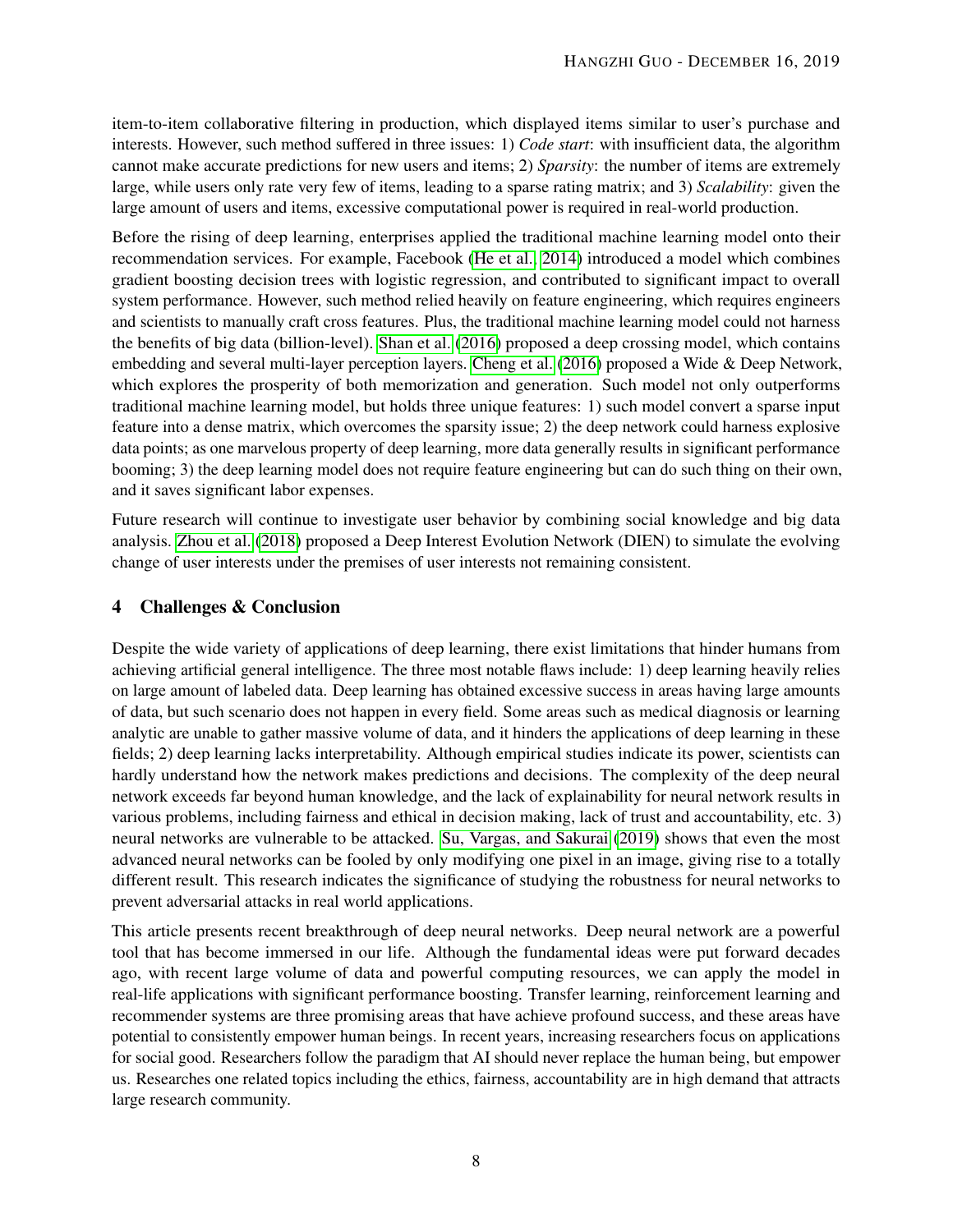item-to-item collaborative filtering in production, which displayed items similar to user's purchase and interests. However, such method suffered in three issues: 1) *Code start*: with insufficient data, the algorithm cannot make accurate predictions for new users and items; 2) *Sparsity*: the number of items are extremely large, while users only rate very few of items, leading to a sparse rating matrix; and 3) *Scalability*: given the large amount of users and items, excessive computational power is required in real-world production.

Before the rising of deep learning, enterprises applied the traditional machine learning model onto their recommendation services. For example, Facebook [\(He et al., 2014\)](#page-11-17) introduced a model which combines gradient boosting decision trees with logistic regression, and contributed to significant impact to overall system performance. However, such method relied heavily on feature engineering, which requires engineers and scientists to manually craft cross features. Plus, the traditional machine learning model could not harness the benefits of big data (billion-level). [Shan et al.](#page-12-17) [\(2016\)](#page-12-17) proposed a deep crossing model, which contains embedding and several multi-layer perception layers. [Cheng et al.](#page-11-9) [\(2016\)](#page-11-9) proposed a Wide & Deep Network, which explores the prosperity of both memorization and generation. Such model not only outperforms traditional machine learning model, but holds three unique features: 1) such model convert a sparse input feature into a dense matrix, which overcomes the sparsity issue; 2) the deep network could harness explosive data points; as one marvelous property of deep learning, more data generally results in significant performance booming; 3) the deep learning model does not require feature engineering but can do such thing on their own, and it saves significant labor expenses.

Future research will continue to investigate user behavior by combining social knowledge and big data analysis. [Zhou et al.](#page-13-1) [\(2018\)](#page-13-1) proposed a Deep Interest Evolution Network (DIEN) to simulate the evolving change of user interests under the premises of user interests not remaining consistent.

#### <span id="page-10-0"></span>4 Challenges & Conclusion

Despite the wide variety of applications of deep learning, there exist limitations that hinder humans from achieving artificial general intelligence. The three most notable flaws include: 1) deep learning heavily relies on large amount of labeled data. Deep learning has obtained excessive success in areas having large amounts of data, but such scenario does not happen in every field. Some areas such as medical diagnosis or learning analytic are unable to gather massive volume of data, and it hinders the applications of deep learning in these fields; 2) deep learning lacks interpretability. Although empirical studies indicate its power, scientists can hardly understand how the network makes predictions and decisions. The complexity of the deep neural network exceeds far beyond human knowledge, and the lack of explainability for neural network results in various problems, including fairness and ethical in decision making, lack of trust and accountability, etc. 3) neural networks are vulnerable to be attacked. [Su, Vargas, and Sakurai](#page-12-18) [\(2019\)](#page-12-18) shows that even the most advanced neural networks can be fooled by only modifying one pixel in an image, giving rise to a totally different result. This research indicates the significance of studying the robustness for neural networks to prevent adversarial attacks in real world applications.

This article presents recent breakthrough of deep neural networks. Deep neural network are a powerful tool that has become immersed in our life. Although the fundamental ideas were put forward decades ago, with recent large volume of data and powerful computing resources, we can apply the model in real-life applications with significant performance boosting. Transfer learning, reinforcement learning and recommender systems are three promising areas that have achieve profound success, and these areas have potential to consistently empower human beings. In recent years, increasing researchers focus on applications for social good. Researchers follow the paradigm that AI should never replace the human being, but empower us. Researches one related topics including the ethics, fairness, accountability are in high demand that attracts large research community.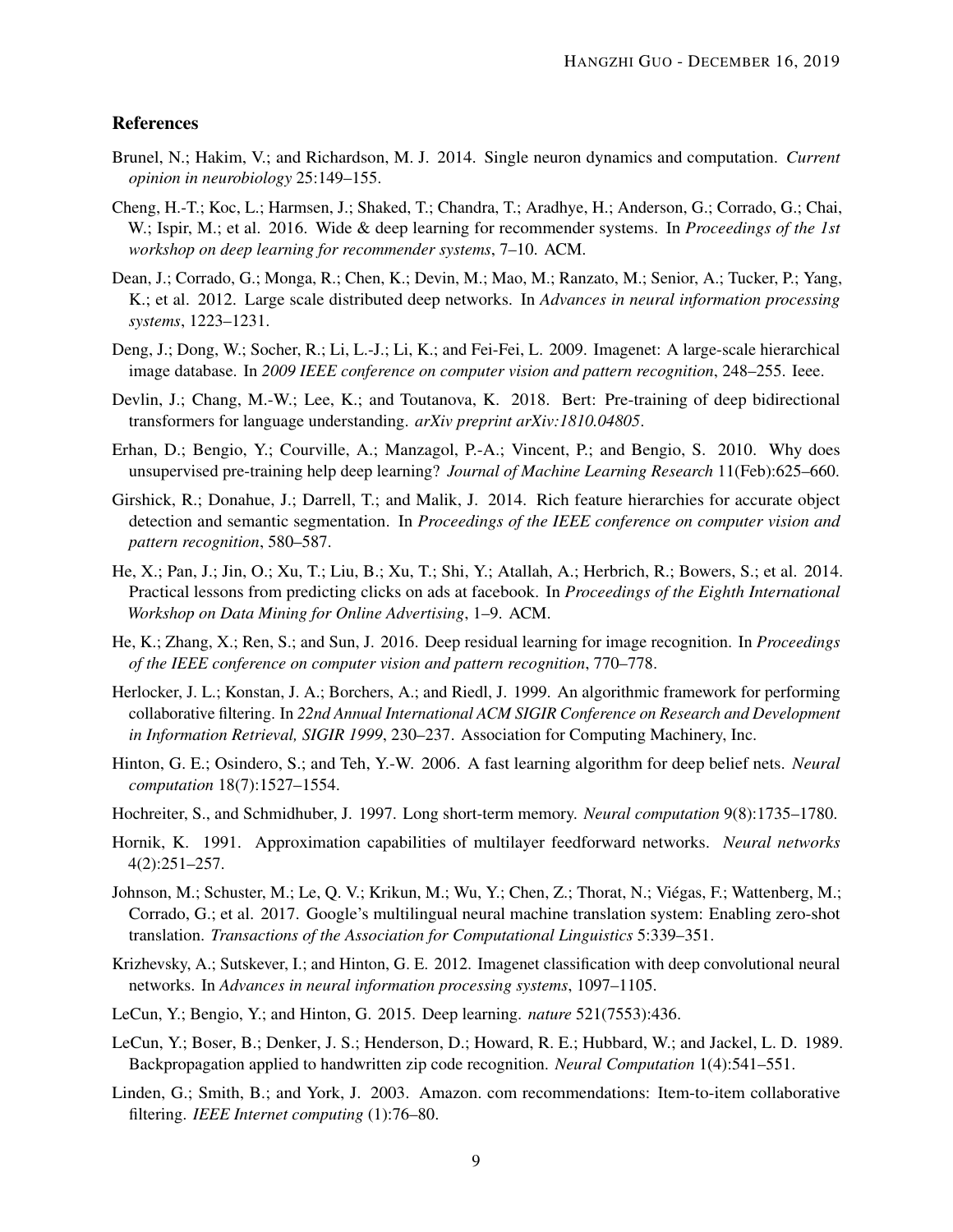#### References

- <span id="page-11-5"></span>Brunel, N.; Hakim, V.; and Richardson, M. J. 2014. Single neuron dynamics and computation. *Current opinion in neurobiology* 25:149–155.
- <span id="page-11-9"></span>Cheng, H.-T.; Koc, L.; Harmsen, J.; Shaked, T.; Chandra, T.; Aradhye, H.; Anderson, G.; Corrado, G.; Chai, W.; Ispir, M.; et al. 2016. Wide & deep learning for recommender systems. In *Proceedings of the 1st workshop on deep learning for recommender systems*, 7–10. ACM.
- <span id="page-11-11"></span>Dean, J.; Corrado, G.; Monga, R.; Chen, K.; Devin, M.; Mao, M.; Ranzato, M.; Senior, A.; Tucker, P.; Yang, K.; et al. 2012. Large scale distributed deep networks. In *Advances in neural information processing systems*, 1223–1231.
- <span id="page-11-12"></span>Deng, J.; Dong, W.; Socher, R.; Li, L.-J.; Li, K.; and Fei-Fei, L. 2009. Imagenet: A large-scale hierarchical image database. In *2009 IEEE conference on computer vision and pattern recognition*, 248–255. Ieee.
- <span id="page-11-4"></span>Devlin, J.; Chang, M.-W.; Lee, K.; and Toutanova, K. 2018. Bert: Pre-training of deep bidirectional transformers for language understanding. *arXiv preprint arXiv:1810.04805*.
- <span id="page-11-13"></span>Erhan, D.; Bengio, Y.; Courville, A.; Manzagol, P.-A.; Vincent, P.; and Bengio, S. 2010. Why does unsupervised pre-training help deep learning? *Journal of Machine Learning Research* 11(Feb):625–660.
- <span id="page-11-14"></span>Girshick, R.; Donahue, J.; Darrell, T.; and Malik, J. 2014. Rich feature hierarchies for accurate object detection and semantic segmentation. In *Proceedings of the IEEE conference on computer vision and pattern recognition*, 580–587.
- <span id="page-11-17"></span>He, X.; Pan, J.; Jin, O.; Xu, T.; Liu, B.; Xu, T.; Shi, Y.; Atallah, A.; Herbrich, R.; Bowers, S.; et al. 2014. Practical lessons from predicting clicks on ads at facebook. In *Proceedings of the Eighth International Workshop on Data Mining for Online Advertising*, 1–9. ACM.
- <span id="page-11-8"></span>He, K.; Zhang, X.; Ren, S.; and Sun, J. 2016. Deep residual learning for image recognition. In *Proceedings of the IEEE conference on computer vision and pattern recognition*, 770–778.
- <span id="page-11-15"></span>Herlocker, J. L.; Konstan, J. A.; Borchers, A.; and Riedl, J. 1999. An algorithmic framework for performing collaborative filtering. In *22nd Annual International ACM SIGIR Conference on Research and Development in Information Retrieval, SIGIR 1999*, 230–237. Association for Computing Machinery, Inc.
- <span id="page-11-1"></span>Hinton, G. E.; Osindero, S.; and Teh, Y.-W. 2006. A fast learning algorithm for deep belief nets. *Neural computation* 18(7):1527–1554.
- <span id="page-11-10"></span>Hochreiter, S., and Schmidhuber, J. 1997. Long short-term memory. *Neural computation* 9(8):1735–1780.
- <span id="page-11-6"></span>Hornik, K. 1991. Approximation capabilities of multilayer feedforward networks. *Neural networks* 4(2):251–257.
- <span id="page-11-3"></span>Johnson, M.; Schuster, M.; Le, Q. V.; Krikun, M.; Wu, Y.; Chen, Z.; Thorat, N.; Viégas, F.; Wattenberg, M.; Corrado, G.; et al. 2017. Google's multilingual neural machine translation system: Enabling zero-shot translation. *Transactions of the Association for Computational Linguistics* 5:339–351.
- <span id="page-11-2"></span>Krizhevsky, A.; Sutskever, I.; and Hinton, G. E. 2012. Imagenet classification with deep convolutional neural networks. In *Advances in neural information processing systems*, 1097–1105.
- <span id="page-11-7"></span>LeCun, Y.; Bengio, Y.; and Hinton, G. 2015. Deep learning. *nature* 521(7553):436.
- <span id="page-11-0"></span>LeCun, Y.; Boser, B.; Denker, J. S.; Henderson, D.; Howard, R. E.; Hubbard, W.; and Jackel, L. D. 1989. Backpropagation applied to handwritten zip code recognition. *Neural Computation* 1(4):541–551.
- <span id="page-11-16"></span>Linden, G.; Smith, B.; and York, J. 2003. Amazon. com recommendations: Item-to-item collaborative filtering. *IEEE Internet computing* (1):76–80.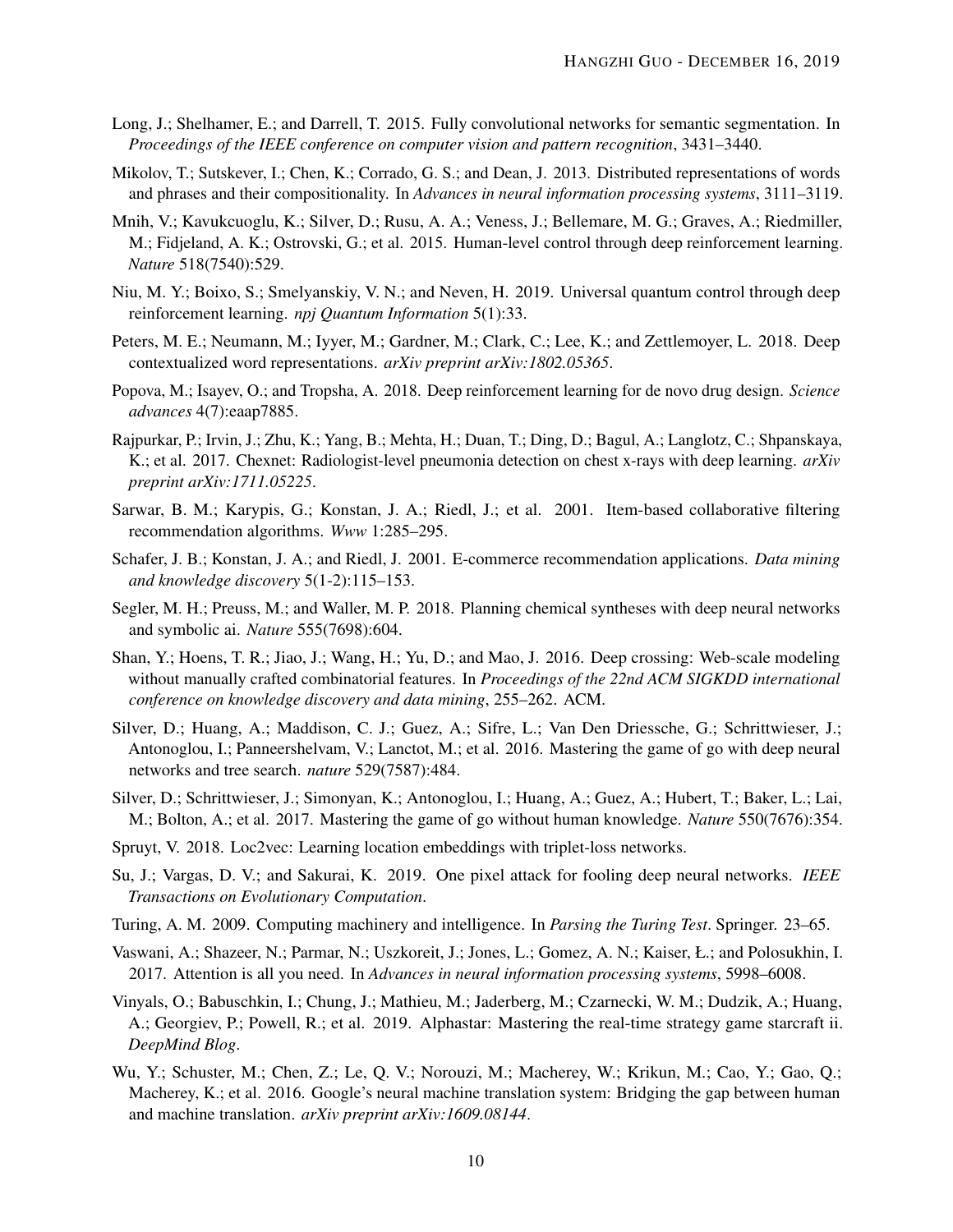- <span id="page-12-6"></span>Long, J.; Shelhamer, E.; and Darrell, T. 2015. Fully convolutional networks for semantic segmentation. In *Proceedings of the IEEE conference on computer vision and pattern recognition*, 3431–3440.
- <span id="page-12-7"></span>Mikolov, T.; Sutskever, I.; Chen, K.; Corrado, G. S.; and Dean, J. 2013. Distributed representations of words and phrases and their compositionality. In *Advances in neural information processing systems*, 3111–3119.
- <span id="page-12-10"></span>Mnih, V.; Kavukcuoglu, K.; Silver, D.; Rusu, A. A.; Veness, J.; Bellemare, M. G.; Graves, A.; Riedmiller, M.; Fidjeland, A. K.; Ostrovski, G.; et al. 2015. Human-level control through deep reinforcement learning. *Nature* 518(7540):529.
- <span id="page-12-14"></span>Niu, M. Y.; Boixo, S.; Smelyanskiy, V. N.; and Neven, H. 2019. Universal quantum control through deep reinforcement learning. *npj Quantum Information* 5(1):33.
- <span id="page-12-8"></span>Peters, M. E.; Neumann, M.; Iyyer, M.; Gardner, M.; Clark, C.; Lee, K.; and Zettlemoyer, L. 2018. Deep contextualized word representations. *arXiv preprint arXiv:1802.05365*.
- <span id="page-12-12"></span>Popova, M.; Isayev, O.; and Tropsha, A. 2018. Deep reinforcement learning for de novo drug design. *Science advances* 4(7):eaap7885.
- <span id="page-12-1"></span>Rajpurkar, P.; Irvin, J.; Zhu, K.; Yang, B.; Mehta, H.; Duan, T.; Ding, D.; Bagul, A.; Langlotz, C.; Shpanskaya, K.; et al. 2017. Chexnet: Radiologist-level pneumonia detection on chest x-rays with deep learning. *arXiv preprint arXiv:1711.05225*.
- <span id="page-12-15"></span>Sarwar, B. M.; Karypis, G.; Konstan, J. A.; Riedl, J.; et al. 2001. Item-based collaborative filtering recommendation algorithms. *Www* 1:285–295.
- <span id="page-12-16"></span>Schafer, J. B.; Konstan, J. A.; and Riedl, J. 2001. E-commerce recommendation applications. *Data mining and knowledge discovery* 5(1-2):115–153.
- <span id="page-12-13"></span>Segler, M. H.; Preuss, M.; and Waller, M. P. 2018. Planning chemical syntheses with deep neural networks and symbolic ai. *Nature* 555(7698):604.
- <span id="page-12-17"></span>Shan, Y.; Hoens, T. R.; Jiao, J.; Wang, H.; Yu, D.; and Mao, J. 2016. Deep crossing: Web-scale modeling without manually crafted combinatorial features. In *Proceedings of the 22nd ACM SIGKDD international conference on knowledge discovery and data mining*, 255–262. ACM.
- <span id="page-12-2"></span>Silver, D.; Huang, A.; Maddison, C. J.; Guez, A.; Sifre, L.; Van Den Driessche, G.; Schrittwieser, J.; Antonoglou, I.; Panneershelvam, V.; Lanctot, M.; et al. 2016. Mastering the game of go with deep neural networks and tree search. *nature* 529(7587):484.
- <span id="page-12-3"></span>Silver, D.; Schrittwieser, J.; Simonyan, K.; Antonoglou, I.; Huang, A.; Guez, A.; Hubert, T.; Baker, L.; Lai, M.; Bolton, A.; et al. 2017. Mastering the game of go without human knowledge. *Nature* 550(7676):354.
- <span id="page-12-9"></span>Spruyt, V. 2018. Loc2vec: Learning location embeddings with triplet-loss networks.
- <span id="page-12-18"></span>Su, J.; Vargas, D. V.; and Sakurai, K. 2019. One pixel attack for fooling deep neural networks. *IEEE Transactions on Evolutionary Computation*.
- <span id="page-12-0"></span>Turing, A. M. 2009. Computing machinery and intelligence. In *Parsing the Turing Test*. Springer. 23–65.
- <span id="page-12-5"></span>Vaswani, A.; Shazeer, N.; Parmar, N.; Uszkoreit, J.; Jones, L.; Gomez, A. N.; Kaiser, Ł.; and Polosukhin, I. 2017. Attention is all you need. In *Advances in neural information processing systems*, 5998–6008.
- <span id="page-12-11"></span>Vinyals, O.; Babuschkin, I.; Chung, J.; Mathieu, M.; Jaderberg, M.; Czarnecki, W. M.; Dudzik, A.; Huang, A.; Georgiev, P.; Powell, R.; et al. 2019. Alphastar: Mastering the real-time strategy game starcraft ii. *DeepMind Blog*.
- <span id="page-12-4"></span>Wu, Y.; Schuster, M.; Chen, Z.; Le, Q. V.; Norouzi, M.; Macherey, W.; Krikun, M.; Cao, Y.; Gao, Q.; Macherey, K.; et al. 2016. Google's neural machine translation system: Bridging the gap between human and machine translation. *arXiv preprint arXiv:1609.08144*.